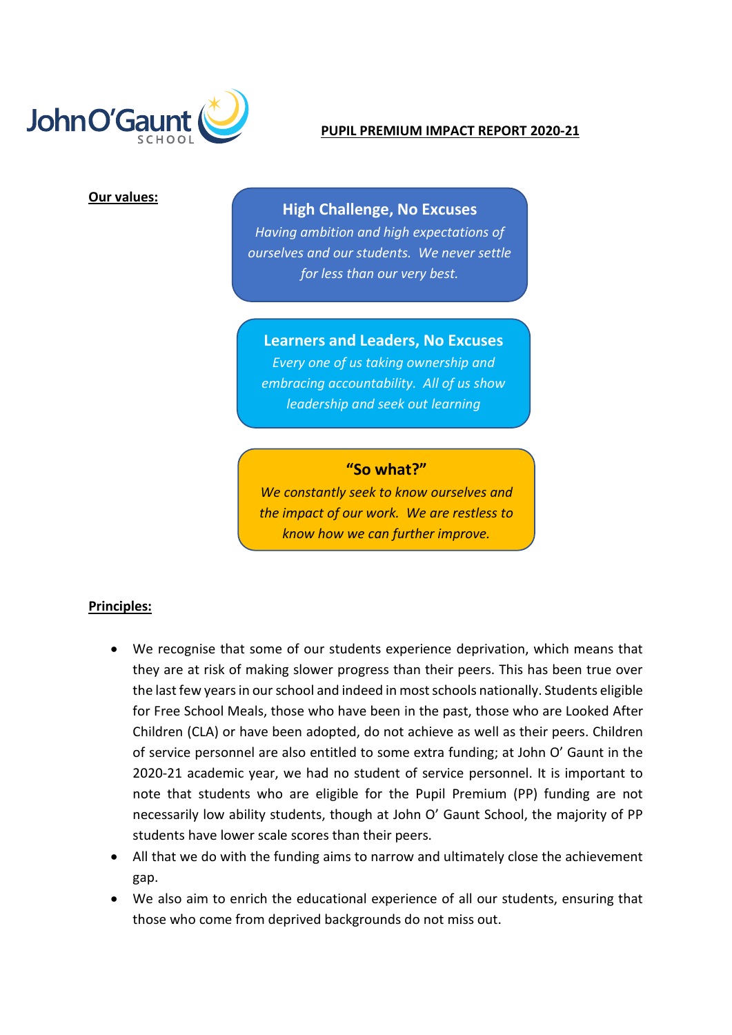

#### **PUPIL PREMIUM IMPACT REPORT 2020-21**

### **Our values:**

# **High Challenge, No Excuses**

*Having ambition and high expectations of ourselves and our students. We never settle for less than our very best.*

# **Learners and Leaders, No Excuses**

*Every one of us taking ownership and embracing accountability. All of us show leadership and seek out learning*

# **"So what?"**

*We constantly seek to know ourselves and the impact of our work. We are restless to know how we can further improve.*

### **Principles:**

- We recognise that some of our students experience deprivation, which means that they are at risk of making slower progress than their peers. This has been true over the last few years in our school and indeed in most schools nationally. Students eligible for Free School Meals, those who have been in the past, those who are Looked After Children (CLA) or have been adopted, do not achieve as well as their peers. Children of service personnel are also entitled to some extra funding; at John O' Gaunt in the 2020-21 academic year, we had no student of service personnel. It is important to note that students who are eligible for the Pupil Premium (PP) funding are not necessarily low ability students, though at John O' Gaunt School, the majority of PP students have lower scale scores than their peers.
- All that we do with the funding aims to narrow and ultimately close the achievement gap.
- We also aim to enrich the educational experience of all our students, ensuring that those who come from deprived backgrounds do not miss out.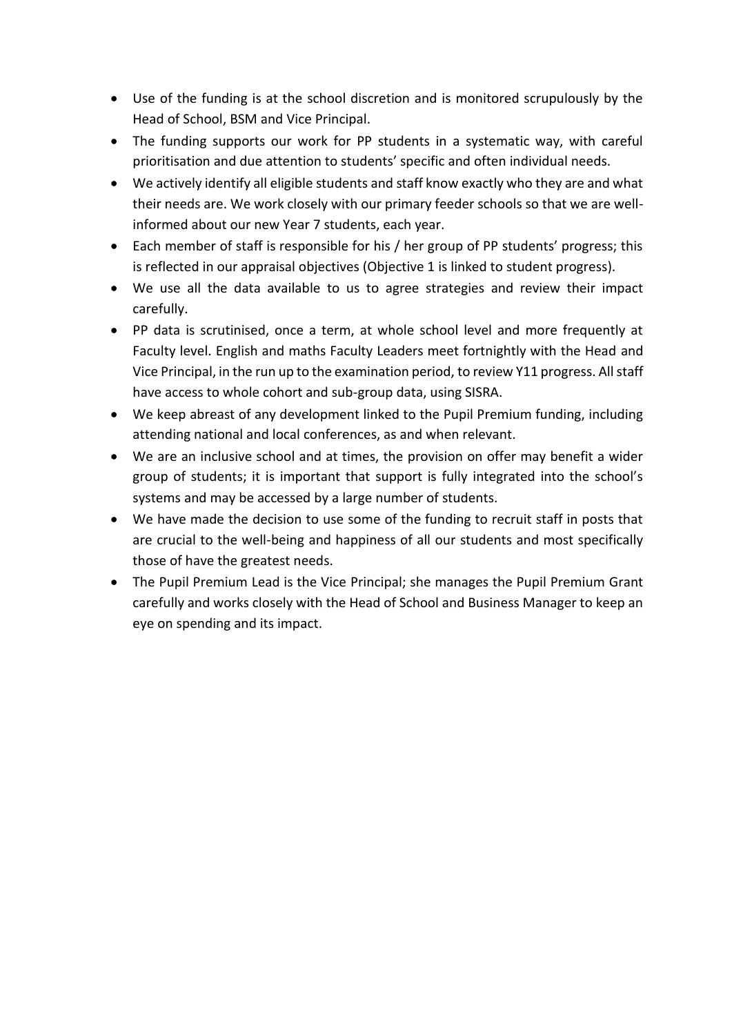- Use of the funding is at the school discretion and is monitored scrupulously by the Head of School, BSM and Vice Principal.
- The funding supports our work for PP students in a systematic way, with careful prioritisation and due attention to students' specific and often individual needs.
- We actively identify all eligible students and staff know exactly who they are and what their needs are. We work closely with our primary feeder schools so that we are wellinformed about our new Year 7 students, each year.
- Each member of staff is responsible for his / her group of PP students' progress; this is reflected in our appraisal objectives (Objective 1 is linked to student progress).
- We use all the data available to us to agree strategies and review their impact carefully.
- PP data is scrutinised, once a term, at whole school level and more frequently at Faculty level. English and maths Faculty Leaders meet fortnightly with the Head and Vice Principal, in the run up to the examination period, to review Y11 progress. All staff have access to whole cohort and sub-group data, using SISRA.
- We keep abreast of any development linked to the Pupil Premium funding, including attending national and local conferences, as and when relevant.
- We are an inclusive school and at times, the provision on offer may benefit a wider group of students; it is important that support is fully integrated into the school's systems and may be accessed by a large number of students.
- We have made the decision to use some of the funding to recruit staff in posts that are crucial to the well-being and happiness of all our students and most specifically those of have the greatest needs.
- The Pupil Premium Lead is the Vice Principal; she manages the Pupil Premium Grant carefully and works closely with the Head of School and Business Manager to keep an eye on spending and its impact.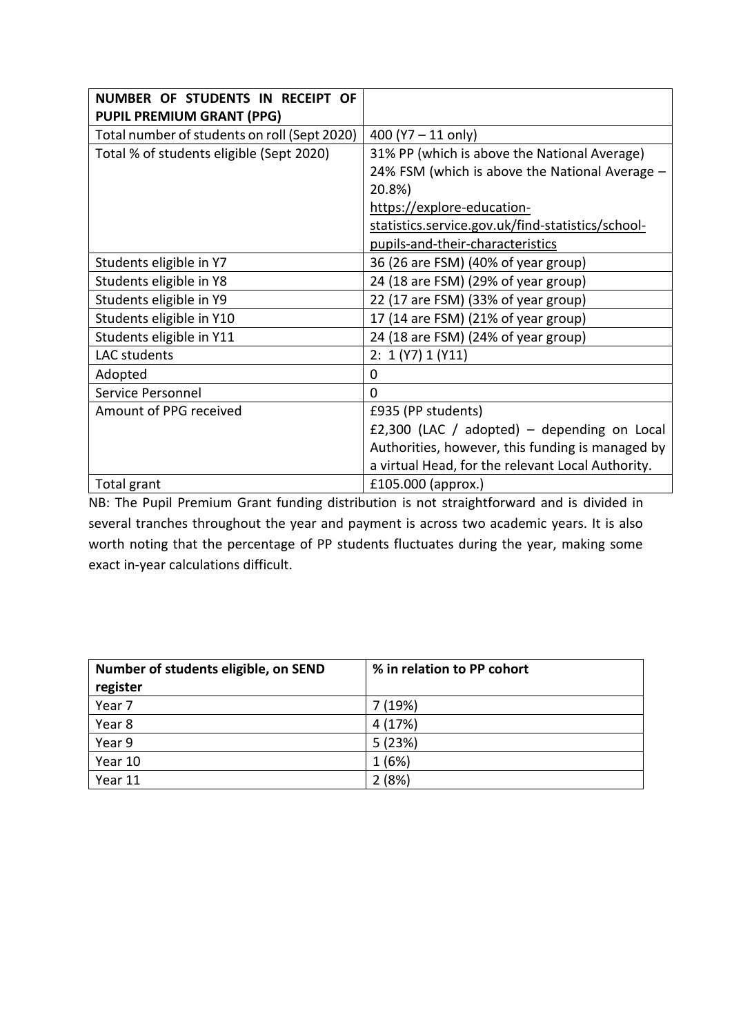| NUMBER OF STUDENTS IN RECEIPT OF             |                                                   |
|----------------------------------------------|---------------------------------------------------|
| <b>PUPIL PREMIUM GRANT (PPG)</b>             |                                                   |
| Total number of students on roll (Sept 2020) | 400 ( $Y7 - 11$ only)                             |
| Total % of students eligible (Sept 2020)     | 31% PP (which is above the National Average)      |
|                                              | 24% FSM (which is above the National Average -    |
|                                              | 20.8%)                                            |
|                                              | https://explore-education-                        |
|                                              | statistics.service.gov.uk/find-statistics/school- |
|                                              | pupils-and-their-characteristics                  |
| Students eligible in Y7                      | 36 (26 are FSM) (40% of year group)               |
| Students eligible in Y8                      | 24 (18 are FSM) (29% of year group)               |
| Students eligible in Y9                      | 22 (17 are FSM) (33% of year group)               |
| Students eligible in Y10                     | 17 (14 are FSM) (21% of year group)               |
| Students eligible in Y11                     | 24 (18 are FSM) (24% of year group)               |
| LAC students                                 | 2: 1 (Y7) 1 (Y11)                                 |
| Adopted                                      | 0                                                 |
| Service Personnel                            | $\Omega$                                          |
| Amount of PPG received                       | £935 (PP students)                                |
|                                              | £2,300 (LAC / adopted) – depending on Local       |
|                                              | Authorities, however, this funding is managed by  |
|                                              | a virtual Head, for the relevant Local Authority. |
| Total grant                                  | £105.000 (approx.)                                |

NB: The Pupil Premium Grant funding distribution is not straightforward and is divided in several tranches throughout the year and payment is across two academic years. It is also worth noting that the percentage of PP students fluctuates during the year, making some exact in-year calculations difficult.

| Number of students eligible, on SEND | % in relation to PP cohort |
|--------------------------------------|----------------------------|
| register                             |                            |
| Year 7                               | 7(19%)                     |
| Year 8                               | 4 (17%)                    |
| Year 9                               | 5(23%)                     |
| Year 10                              | 1(6%)                      |
| Year 11                              | 2(8%)                      |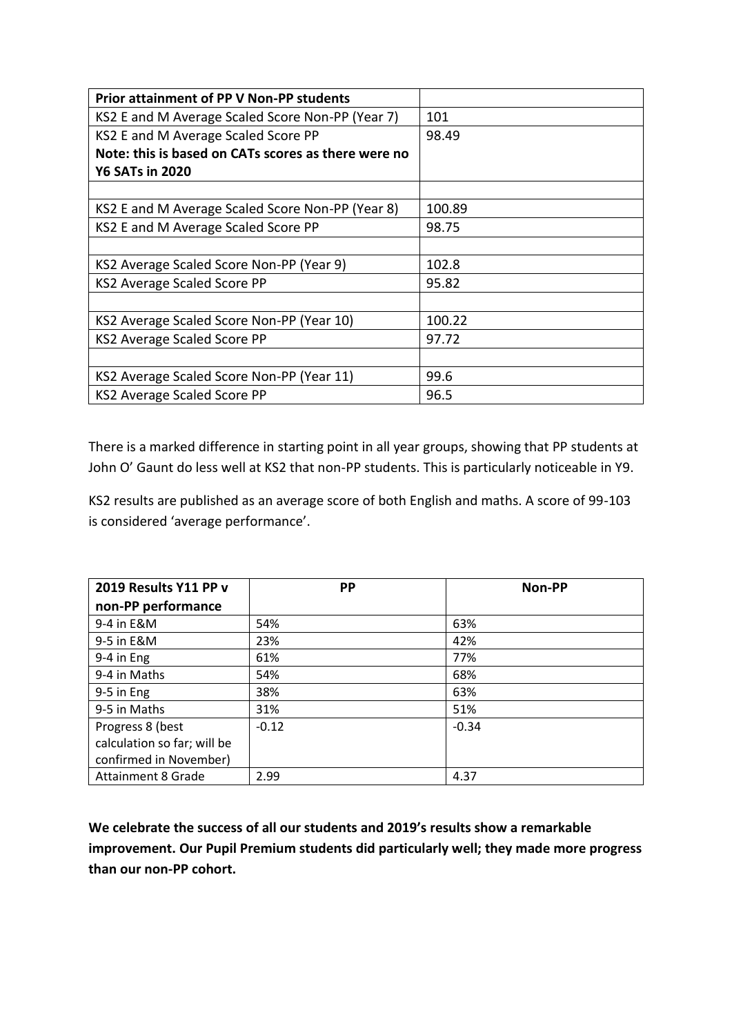| <b>Prior attainment of PP V Non-PP students</b>     |        |
|-----------------------------------------------------|--------|
| KS2 E and M Average Scaled Score Non-PP (Year 7)    | 101    |
| KS2 E and M Average Scaled Score PP                 | 98.49  |
| Note: this is based on CATs scores as there were no |        |
| <b>Y6 SATs in 2020</b>                              |        |
|                                                     |        |
| KS2 E and M Average Scaled Score Non-PP (Year 8)    | 100.89 |
| KS2 E and M Average Scaled Score PP                 | 98.75  |
|                                                     |        |
| KS2 Average Scaled Score Non-PP (Year 9)            | 102.8  |
| KS2 Average Scaled Score PP                         | 95.82  |
|                                                     |        |
| KS2 Average Scaled Score Non-PP (Year 10)           | 100.22 |
| KS2 Average Scaled Score PP                         | 97.72  |
|                                                     |        |
| KS2 Average Scaled Score Non-PP (Year 11)           | 99.6   |
| KS2 Average Scaled Score PP                         | 96.5   |

There is a marked difference in starting point in all year groups, showing that PP students at John O' Gaunt do less well at KS2 that non-PP students. This is particularly noticeable in Y9.

KS2 results are published as an average score of both English and maths. A score of 99-103 is considered 'average performance'.

| 2019 Results Y11 PP v       | PP      | <b>Non-PP</b> |
|-----------------------------|---------|---------------|
| non-PP performance          |         |               |
| 9-4 in E&M                  | 54%     | 63%           |
| 9-5 in E&M                  | 23%     | 42%           |
| 9-4 in Eng                  | 61%     | 77%           |
| 9-4 in Maths                | 54%     | 68%           |
| 9-5 in Eng                  | 38%     | 63%           |
| 9-5 in Maths                | 31%     | 51%           |
| Progress 8 (best            | $-0.12$ | $-0.34$       |
| calculation so far; will be |         |               |
| confirmed in November)      |         |               |
| <b>Attainment 8 Grade</b>   | 2.99    | 4.37          |

**We celebrate the success of all our students and 2019's results show a remarkable improvement. Our Pupil Premium students did particularly well; they made more progress than our non-PP cohort.**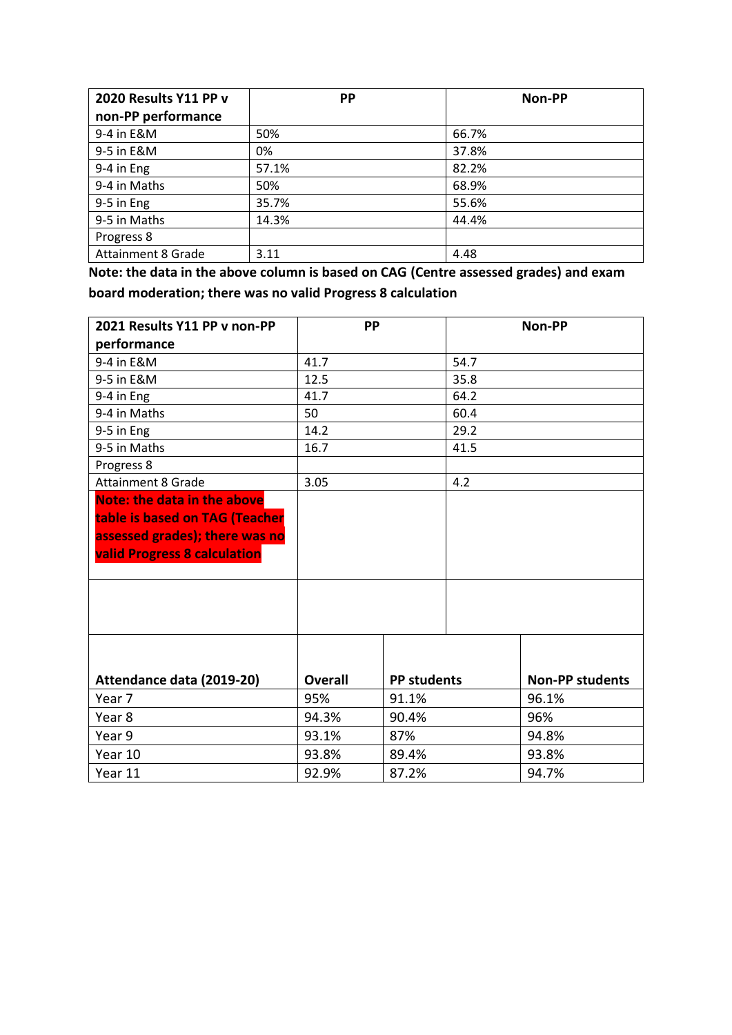| 2020 Results Y11 PP v     | <b>PP</b> | Non-PP |
|---------------------------|-----------|--------|
| non-PP performance        |           |        |
| 9-4 in E&M                | 50%       | 66.7%  |
| 9-5 in E&M                | 0%        | 37.8%  |
| 9-4 in Eng                | 57.1%     | 82.2%  |
| 9-4 in Maths              | 50%       | 68.9%  |
| 9-5 in Eng                | 35.7%     | 55.6%  |
| 9-5 in Maths              | 14.3%     | 44.4%  |
| Progress 8                |           |        |
| <b>Attainment 8 Grade</b> | 3.11      | 4.48   |

**Note: the data in the above column is based on CAG (Centre assessed grades) and exam board moderation; there was no valid Progress 8 calculation**

| 2021 Results Y11 PP v non-PP                                                                                                                  | <b>PP</b>      |                    |      | Non-PP                 |
|-----------------------------------------------------------------------------------------------------------------------------------------------|----------------|--------------------|------|------------------------|
| performance                                                                                                                                   |                |                    |      |                        |
| 9-4 in E&M                                                                                                                                    | 41.7           |                    | 54.7 |                        |
| 9-5 in E&M                                                                                                                                    | 12.5           |                    | 35.8 |                        |
| 9-4 in Eng                                                                                                                                    | 41.7           |                    | 64.2 |                        |
| 9-4 in Maths                                                                                                                                  | 50             |                    | 60.4 |                        |
| 9-5 in Eng                                                                                                                                    | 14.2           |                    | 29.2 |                        |
| 9-5 in Maths                                                                                                                                  | 16.7           |                    | 41.5 |                        |
| Progress 8                                                                                                                                    |                |                    |      |                        |
| <b>Attainment 8 Grade</b>                                                                                                                     | 3.05           |                    | 4.2  |                        |
| <b>Note: the data in the above</b><br>table is based on TAG (Teacher<br>assessed grades); there was no<br><b>valid Progress 8 calculation</b> |                |                    |      |                        |
| Attendance data (2019-20)                                                                                                                     | <b>Overall</b> | <b>PP students</b> |      | <b>Non-PP students</b> |
| Year 7                                                                                                                                        | 95%            | 91.1%              |      | 96.1%                  |
| Year <sub>8</sub>                                                                                                                             | 94.3%          | 90.4%              |      | 96%                    |
| Year 9                                                                                                                                        | 93.1%          | 87%                |      | 94.8%                  |
| Year 10                                                                                                                                       | 93.8%          | 89.4%              |      | 93.8%                  |
| Year 11                                                                                                                                       | 92.9%          | 87.2%              |      | 94.7%                  |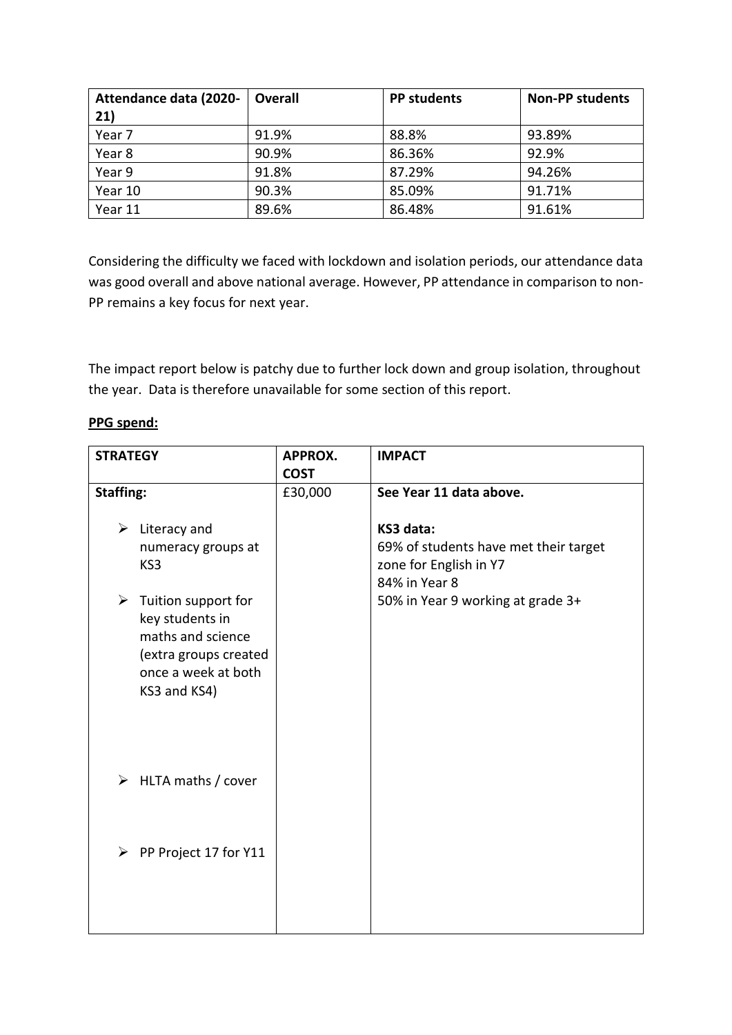| Attendance data (2020- | <b>Overall</b> | <b>PP students</b> | <b>Non-PP students</b> |
|------------------------|----------------|--------------------|------------------------|
| 21)                    |                |                    |                        |
| Year 7                 | 91.9%          | 88.8%              | 93.89%                 |
| Year 8                 | 90.9%          | 86.36%             | 92.9%                  |
| Year 9                 | 91.8%          | 87.29%             | 94.26%                 |
| Year 10                | 90.3%          | 85.09%             | 91.71%                 |
| Year 11                | 89.6%          | 86.48%             | 91.61%                 |

Considering the difficulty we faced with lockdown and isolation periods, our attendance data was good overall and above national average. However, PP attendance in comparison to non-PP remains a key focus for next year.

The impact report below is patchy due to further lock down and group isolation, throughout the year. Data is therefore unavailable for some section of this report.

# **PPG spend:**

| <b>STRATEGY</b>                                         | APPROX.     | <b>IMPACT</b>                         |
|---------------------------------------------------------|-------------|---------------------------------------|
|                                                         | <b>COST</b> |                                       |
| <b>Staffing:</b>                                        | £30,000     | See Year 11 data above.               |
|                                                         |             |                                       |
| $\triangleright$ Literacy and                           |             | KS3 data:                             |
| numeracy groups at                                      |             | 69% of students have met their target |
| KS3                                                     |             | zone for English in Y7                |
|                                                         |             | 84% in Year 8                         |
| $\triangleright$ Tuition support for<br>key students in |             | 50% in Year 9 working at grade 3+     |
| maths and science                                       |             |                                       |
| (extra groups created                                   |             |                                       |
| once a week at both                                     |             |                                       |
| KS3 and KS4)                                            |             |                                       |
|                                                         |             |                                       |
|                                                         |             |                                       |
|                                                         |             |                                       |
|                                                         |             |                                       |
| HLTA maths / cover<br>➤                                 |             |                                       |
|                                                         |             |                                       |
|                                                         |             |                                       |
| PP Project 17 for Y11<br>$\blacktriangleright$          |             |                                       |
|                                                         |             |                                       |
|                                                         |             |                                       |
|                                                         |             |                                       |
|                                                         |             |                                       |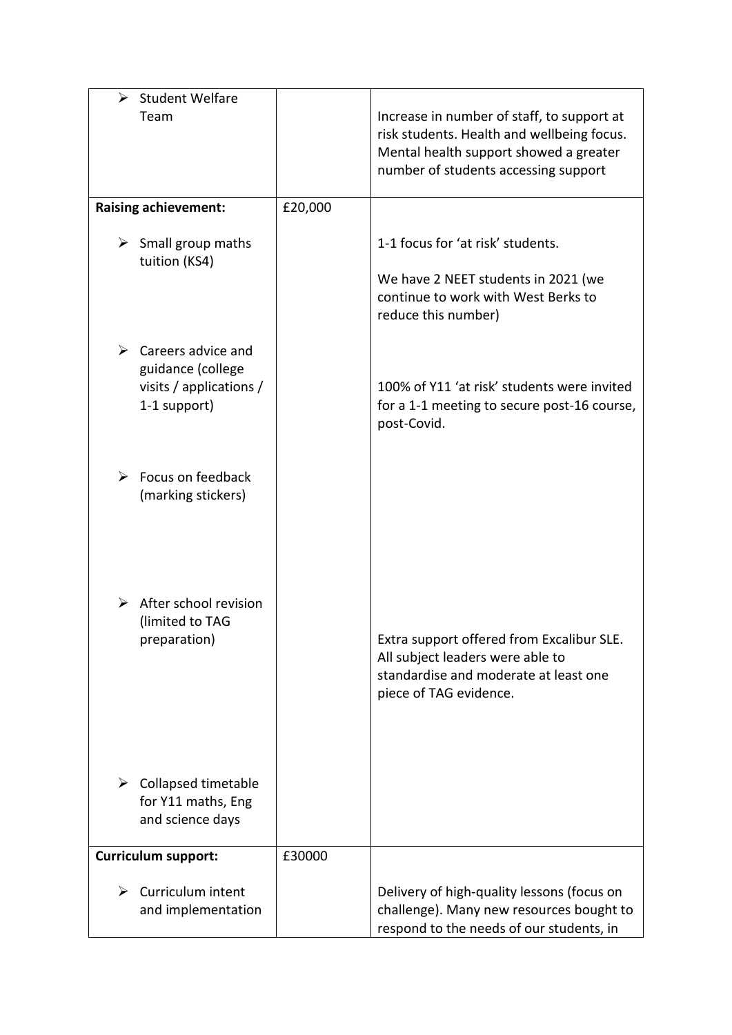| <b>Student Welfare</b><br>➤                                                                         |         |                                                                                                                                                                            |
|-----------------------------------------------------------------------------------------------------|---------|----------------------------------------------------------------------------------------------------------------------------------------------------------------------------|
| Team                                                                                                |         | Increase in number of staff, to support at<br>risk students. Health and wellbeing focus.<br>Mental health support showed a greater<br>number of students accessing support |
| <b>Raising achievement:</b>                                                                         | £20,000 |                                                                                                                                                                            |
| $\triangleright$ Small group maths<br>tuition (KS4)                                                 |         | 1-1 focus for 'at risk' students.<br>We have 2 NEET students in 2021 (we<br>continue to work with West Berks to<br>reduce this number)                                     |
| $\triangleright$ Careers advice and<br>guidance (college<br>visits / applications /<br>1-1 support) |         | 100% of Y11 'at risk' students were invited<br>for a 1-1 meeting to secure post-16 course,<br>post-Covid.                                                                  |
| Focus on feedback<br>➤<br>(marking stickers)                                                        |         |                                                                                                                                                                            |
| $\triangleright$ After school revision<br>(limited to TAG<br>preparation)                           |         | Extra support offered from Excalibur SLE.<br>All subject leaders were able to<br>standardise and moderate at least one<br>piece of TAG evidence.                           |
| ➤<br>Collapsed timetable<br>for Y11 maths, Eng<br>and science days                                  |         |                                                                                                                                                                            |
| <b>Curriculum support:</b>                                                                          | £30000  |                                                                                                                                                                            |
| Curriculum intent<br>➤<br>and implementation                                                        |         | Delivery of high-quality lessons (focus on<br>challenge). Many new resources bought to<br>respond to the needs of our students, in                                         |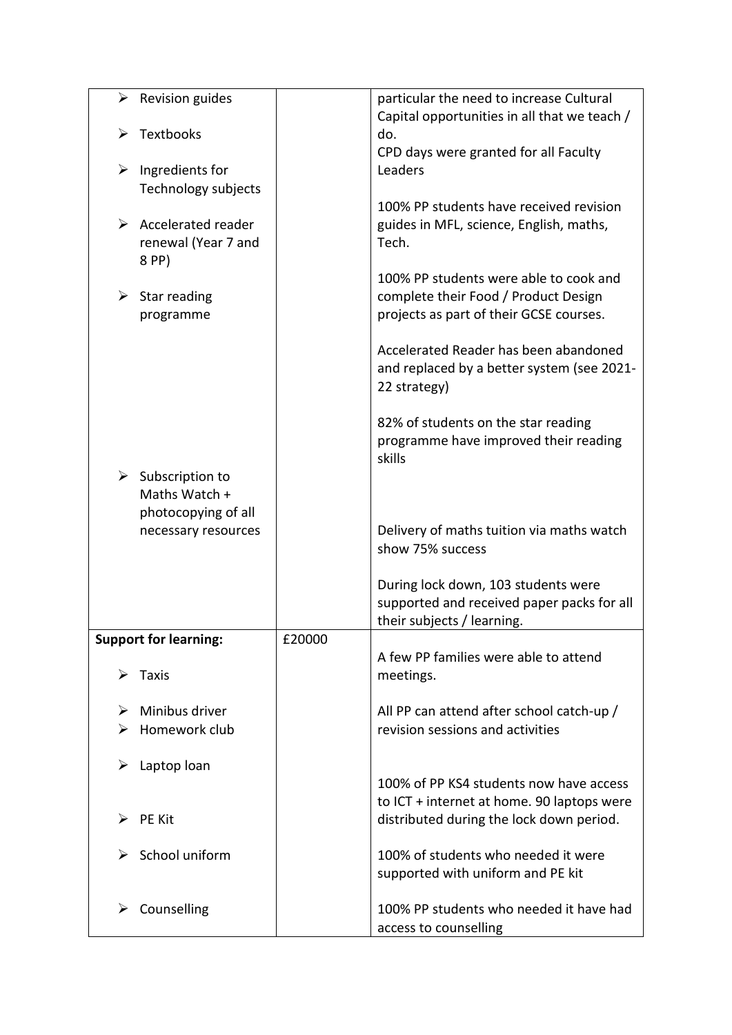|   | $\triangleright$ Revision guides |        | particular the need to increase Cultural        |
|---|----------------------------------|--------|-------------------------------------------------|
|   |                                  |        | Capital opportunities in all that we teach /    |
| ➤ | Textbooks                        |        | do.                                             |
|   |                                  |        | CPD days were granted for all Faculty           |
| ➤ | Ingredients for                  |        | Leaders                                         |
|   | Technology subjects              |        |                                                 |
|   |                                  |        | 100% PP students have received revision         |
| ➤ | Accelerated reader               |        | guides in MFL, science, English, maths,         |
|   | renewal (Year 7 and              |        | Tech.                                           |
|   | 8 PP)                            |        |                                                 |
|   |                                  |        | 100% PP students were able to cook and          |
|   | $\triangleright$ Star reading    |        | complete their Food / Product Design            |
|   | programme                        |        | projects as part of their GCSE courses.         |
|   |                                  |        |                                                 |
|   |                                  |        | Accelerated Reader has been abandoned           |
|   |                                  |        | and replaced by a better system (see 2021-      |
|   |                                  |        | 22 strategy)                                    |
|   |                                  |        |                                                 |
|   |                                  |        | 82% of students on the star reading             |
|   |                                  |        | programme have improved their reading<br>skills |
|   | $\triangleright$ Subscription to |        |                                                 |
|   | Maths Watch +                    |        |                                                 |
|   | photocopying of all              |        |                                                 |
|   | necessary resources              |        | Delivery of maths tuition via maths watch       |
|   |                                  |        | show 75% success                                |
|   |                                  |        |                                                 |
|   |                                  |        | During lock down, 103 students were             |
|   |                                  |        | supported and received paper packs for all      |
|   |                                  |        | their subjects / learning.                      |
|   | <b>Support for learning:</b>     | £20000 |                                                 |
|   |                                  |        | A few PP families were able to attend           |
| ➤ | Taxis                            |        | meetings.                                       |
|   |                                  |        |                                                 |
|   | Minibus driver                   |        | All PP can attend after school catch-up /       |
| ⋗ | Homework club                    |        | revision sessions and activities                |
|   |                                  |        |                                                 |
| ➤ | Laptop loan                      |        |                                                 |
|   |                                  |        | 100% of PP KS4 students now have access         |
|   |                                  |        | to ICT + internet at home. 90 laptops were      |
| ≻ | <b>PE Kit</b>                    |        | distributed during the lock down period.        |
|   |                                  |        |                                                 |
| ➤ | School uniform                   |        | 100% of students who needed it were             |
|   |                                  |        | supported with uniform and PE kit               |
| ➤ | Counselling                      |        | 100% PP students who needed it have had         |
|   |                                  |        | access to counselling                           |
|   |                                  |        |                                                 |